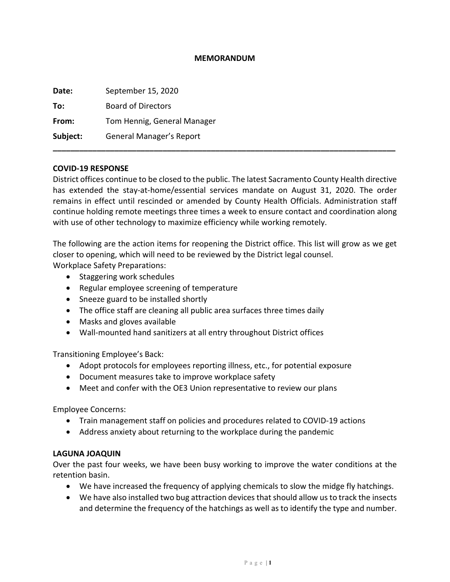### **MEMORANDUM**

| Date:    | September 15, 2020          |
|----------|-----------------------------|
| To:      | <b>Board of Directors</b>   |
| From:    | Tom Hennig, General Manager |
| Subject: | General Manager's Report    |
|          |                             |

### **COVID-19 RESPONSE**

District offices continue to be closed to the public. The latest Sacramento County Health directive has extended the stay-at-home/essential services mandate on August 31, 2020. The order remains in effect until rescinded or amended by County Health Officials. Administration staff continue holding remote meetings three times a week to ensure contact and coordination along with use of other technology to maximize efficiency while working remotely.

The following are the action items for reopening the District office. This list will grow as we get closer to opening, which will need to be reviewed by the District legal counsel. Workplace Safety Preparations:

- Staggering work schedules
- Regular employee screening of temperature
- Sneeze guard to be installed shortly
- The office staff are cleaning all public area surfaces three times daily
- Masks and gloves available
- Wall-mounted hand sanitizers at all entry throughout District offices

Transitioning Employee's Back:

- Adopt protocols for employees reporting illness, etc., for potential exposure
- Document measures take to improve workplace safety
- Meet and confer with the OE3 Union representative to review our plans

Employee Concerns:

- Train management staff on policies and procedures related to COVID-19 actions
- Address anxiety about returning to the workplace during the pandemic

#### **LAGUNA JOAQUIN**

Over the past four weeks, we have been busy working to improve the water conditions at the retention basin.

- We have increased the frequency of applying chemicals to slow the midge fly hatchings.
- We have also installed two bug attraction devices that should allow us to track the insects and determine the frequency of the hatchings as well as to identify the type and number.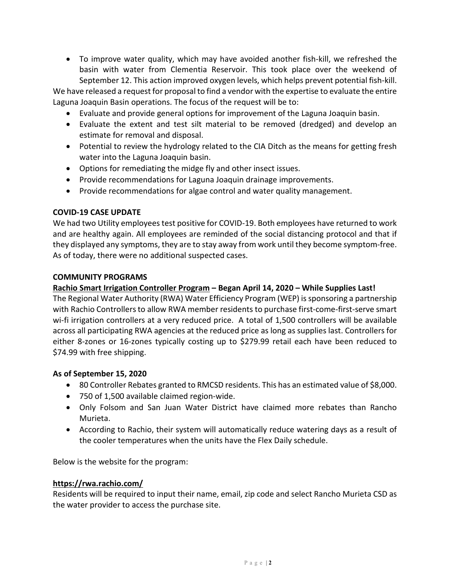• To improve water quality, which may have avoided another fish-kill, we refreshed the basin with water from Clementia Reservoir. This took place over the weekend of September 12. This action improved oxygen levels, which helps prevent potential fish-kill.

We have released a request for proposal to find a vendor with the expertise to evaluate the entire Laguna Joaquin Basin operations. The focus of the request will be to:

- Evaluate and provide general options for improvement of the Laguna Joaquin basin.
- Evaluate the extent and test silt material to be removed (dredged) and develop an estimate for removal and disposal.
- Potential to review the hydrology related to the CIA Ditch as the means for getting fresh water into the Laguna Joaquin basin.
- Options for remediating the midge fly and other insect issues.
- Provide recommendations for Laguna Joaquin drainage improvements.
- Provide recommendations for algae control and water quality management.

# **COVID-19 CASE UPDATE**

We had two Utility employees test positive for COVID-19. Both employees have returned to work and are healthy again. All employees are reminded of the social distancing protocol and that if they displayed any symptoms, they are to stay away from work until they become symptom-free. As of today, there were no additional suspected cases.

# **COMMUNITY PROGRAMS**

# **Rachio Smart Irrigation Controller Program – Began April 14, 2020 – While Supplies Last!**

The Regional Water Authority (RWA) Water Efficiency Program (WEP) is sponsoring a partnership with Rachio Controllers to allow RWA member residents to purchase first-come-first-serve smart wi-fi irrigation controllers at a very reduced price. A total of 1,500 controllers will be available across all participating RWA agencies at the reduced price as long as supplies last. Controllers for either 8-zones or 16-zones typically costing up to \$279.99 retail each have been reduced to \$74.99 with free shipping.

## **As of September 15, 2020**

- 80 Controller Rebates granted to RMCSD residents. This has an estimated value of \$8,000.
- 750 of 1,500 available claimed region-wide.
- Only Folsom and San Juan Water District have claimed more rebates than Rancho Murieta.
- According to Rachio, their system will automatically reduce watering days as a result of the cooler temperatures when the units have the Flex Daily schedule.

Below is the website for the program:

## **<https://rwa.rachio.com/>**

Residents will be required to input their name, email, zip code and select Rancho Murieta CSD as the water provider to access the purchase site.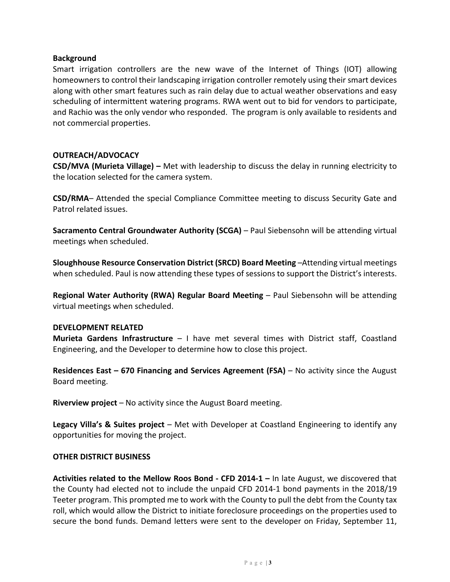### **Background**

Smart irrigation controllers are the new wave of the Internet of Things (IOT) allowing homeowners to control their landscaping irrigation controller remotely using their smart devices along with other smart features such as rain delay due to actual weather observations and easy scheduling of intermittent watering programs. RWA went out to bid for vendors to participate, and Rachio was the only vendor who responded. The program is only available to residents and not commercial properties.

## **OUTREACH/ADVOCACY**

**CSD/MVA (Murieta Village) –** Met with leadership to discuss the delay in running electricity to the location selected for the camera system.

**CSD/RMA**– Attended the special Compliance Committee meeting to discuss Security Gate and Patrol related issues.

**Sacramento Central Groundwater Authority (SCGA)** – Paul Siebensohn will be attending virtual meetings when scheduled.

**Sloughhouse Resource Conservation District (SRCD) Board Meeting** –Attending virtual meetings when scheduled. Paul is now attending these types of sessions to support the District's interests.

**Regional Water Authority (RWA) Regular Board Meeting – Paul Siebensohn will be attending** virtual meetings when scheduled.

#### **DEVELOPMENT RELATED**

**Murieta Gardens Infrastructure** – I have met several times with District staff, Coastland Engineering, and the Developer to determine how to close this project.

**Residences East – 670 Financing and Services Agreement (FSA)** – No activity since the August Board meeting.

**Riverview project** – No activity since the August Board meeting.

**Legacy Villa's & Suites project** – Met with Developer at Coastland Engineering to identify any opportunities for moving the project.

#### **OTHER DISTRICT BUSINESS**

**Activities related to the Mellow Roos Bond - CFD 2014-1 –** In late August, we discovered that the County had elected not to include the unpaid CFD 2014-1 bond payments in the 2018/19 Teeter program. This prompted me to work with the County to pull the debt from the County tax roll, which would allow the District to initiate foreclosure proceedings on the properties used to secure the bond funds. Demand letters were sent to the developer on Friday, September 11,